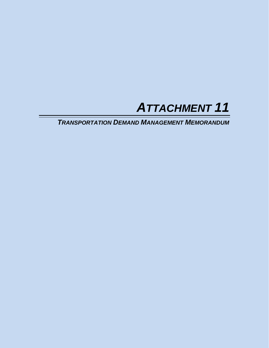

*TRANSPORTATION DEMAND MANAGEMENT MEMORANDUM*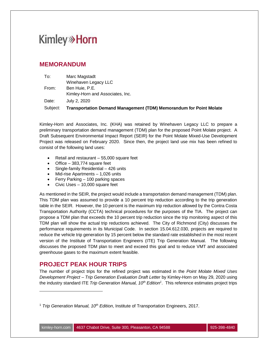### **MEMORANDUM**

|                   | Kimley-Horn and Associates, Inc.                                                          |
|-------------------|-------------------------------------------------------------------------------------------|
| Date:<br>Subject: | July 2, 2020<br><b>Transportation Demand Management (TDM) Memorandum for Point Molate</b> |
|                   |                                                                                           |

Kimley-Horn and Associates, Inc. (KHA) was retained by Winehaven Legacy LLC to prepare a preliminary transportation demand management (TDM) plan for the proposed Point Molate project. A Draft Subsequent Environmental Impact Report (SEIR) for the Point Molate Mixed-Use Development Project was released on February 2020. Since then, the project land use mix has been refined to consist of the following land uses:

- · Retail and restaurant 55,000 square feet
- · Office 383,774 square feet
- · Single-family Residential 426 units
- · Mid-rise Apartments 1,026 units
- Ferry Parking 100 parking spaces
- Civic Uses  $-10,000$  square feet

As mentioned in the SEIR, the project would include a transportation demand management (TDM) plan. This TDM plan was assumed to provide a 10 percent trip reduction according to the trip generation table in the SEIR. However, the 10 percent is the maximum trip reduction allowed by the Contra Costa Transportation Authority (CCTA) technical procedures for the purposes of the TIA. The project can propose a TDM plan that exceeds the 10 percent trip reduction since the trip monitoring aspect of this TDM plan will show the actual trip reductions achieved. The City of Richmond (City) discusses the performance requirements in its Municipal Code. In section 15.04.612.030, projects are required to reduce the vehicle trip generation by 15 percent below the standard rate established in the most recent version of the Institute of Transportation Engineers (ITE) Trip Generation Manual. The following discusses the proposed TDM plan to meet and exceed this goal and to reduce VMT and associated greenhouse gases to the maximum extent feasible.

## **PROJECT PEAK HOUR TRIPS**

The number of project trips for the refined project was estimated in the *Point Molate Mixed Uses Development Project – Trip Generation Evaluation Draft Letter* by Kimley-Horn on May 29, 2020 using the industry standard ITE *Trip Generation Manual, 10th Edition<sup>1</sup>* . This reference estimates project trips

<sup>1</sup> *Trip Generation Manual, 10th Edition*, Institute of Transportation Engineers, 2017.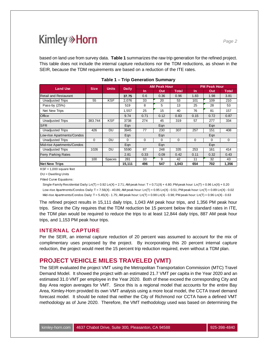based on land use from survey data. **Table 1** summarizes the raw trip generation for the refined project. This table does not include the internal capture reductions nor the TDM reductions, as shown in the SEIR, because the TDM requirements are based on a reduction of the ITE rates.

| <b>Land Use</b>              | <b>Size</b> | <b>Units</b> | <b>Daily</b> |          | <b>AM Peak Hour</b> |              | <b>PM Peak Hour</b> |          |              |
|------------------------------|-------------|--------------|--------------|----------|---------------------|--------------|---------------------|----------|--------------|
|                              |             |              |              | In       | Out                 | <b>Total</b> | 1n                  | Out      | <b>Total</b> |
| <b>Retail and Restaurant</b> |             |              | 37.75        | 0.6      | 0.36                | 0.96         | 1.83                | 1.98     | 3.81         |
| <b>Unadjusted Trips</b>      | 55          | <b>KSF</b>   | 2.076        | 33       | 20                  | 53           | 101                 | 109      | 210          |
| Pass-by (25%)                |             |              | 519          | 8        | 5                   | 13           | 25                  | 28       | 53           |
| <b>Net New Trips</b>         |             |              | 1,557        | 25       | 15                  | 40           | 76                  | 81       | 157          |
| Office                       |             |              | 9.74         | 0.71     | 0.12                | 0.83         | 0.15                | 0.72     | 0.87         |
| <b>Unadjusted Trips</b>      | 383.744     | <b>KSF</b>   | 3738         | 274      | 45                  | 319          | 57                  | 277      | 334          |
| <b>SFR</b>                   |             |              | Egn          |          | Egn                 |              |                     | Eqn      |              |
| <b>Unadjusted Trips</b>      | 426         | DU           | 3945         | 77       | 230                 | 307          | 257                 | 151      | 408          |
| Low-rise Apartments/Condos   |             |              | Egn          |          | Eqn                 |              |                     | Eqn      |              |
| <b>Unadjusted Trips</b>      | $\Omega$    | DU           | $\Omega$     | $\Omega$ | $\Omega$            | $\Omega$     | $\Omega$            | $\Omega$ | $\Omega$     |
| Mid-rise Apartments/Condos   |             |              | Eqn          |          | Eqn                 |              |                     | Eqn      |              |
| <b>Unadjusted Trips</b>      | 1026        | DU           | 5590         | 87       | 248                 | 335          | 253                 | 161      | 414          |
| <b>Ferry Parking Rates</b>   |             |              | 2.81         | 0.33     | 0.09                | 0.42         | 0.11                | 0.32     | 0.43         |
|                              | 100         | Spaces       | 281          | 33       | 9                   | 42           | 11                  | 32       | 43           |
| <b>Net New Trips</b>         |             |              | 15,111       | 496      | 547                 | 1,043        | 654                 | 702      | 1,356        |

|  | Table 1 - Trip Generation Summary |  |
|--|-----------------------------------|--|
|--|-----------------------------------|--|

 $KSF = 1,000$  square feet

DU = Dwelling Units

Fitted Curve Equations:

Single-Family Residential Daily: Ln(T) = 0.92 Ln(X) + 2.71; AM peak hour: T = 0.71(X) + 4.80; PM peak hour: Ln(T) = 0.96 Ln(X) + 0.20 Low-rise Apartments/Condos Daily: T = 7.56(X) - 40.86; AM peak hour: Ln(T) = 0.95 Ln(X) - 0.51; PM peak hour: Ln(T) = 0.89 Ln(X) - 0.02 Mid-rise Apartments/Condos Daily: T = 5.45(X) - 1.75; AM peak hour: Ln(T) = 0.98 Ln(X) - 0.98; PM peak hour: Ln(T) = 0.96 Ln(X) - 0.63

The refined project results in 15,111 daily trips, 1,043 AM peak hour trips, and 1,356 PM peak hour trips. Since the City requires that the TDM reduction be 15 percent below the standard rates in ITE, the TDM plan would be required to reduce the trips to at least 12,844 daily trips, 887 AM peak hour trips, and 1,153 PM peak hour trips.

### **INTERNAL CAPTURE**

Per the SEIR, an internal capture reduction of 20 percent was assumed to account for the mix of complimentary uses proposed by the project. By incorporating this 20 percent internal capture reduction, the project would meet the 15 percent trip reduction required, even without a TDM plan.

## **PROJECT VEHICLE MILES TRAVELED (VMT)**

The SEIR evaluated the project VMT using the Metropolitan Transportation Commission (MTC) Travel Demand Model. It showed the project with an estimated 21.7 VMT per capita in the Year 2020 and an estimated 31.0 VMT per employee in the Year 2020. Both of these exceed the corresponding City and Bay Area region averages for VMT. Since this is a regional model that accounts for the entire Bay Area, Kimley-Horn provided its own VMT analysis using a more local model, the CCTA travel demand forecast model. It should be noted that neither the City of Richmond nor CCTA have a defined VMT methodology as of June 2020. Therefore, the VMT methodology used was based on determining the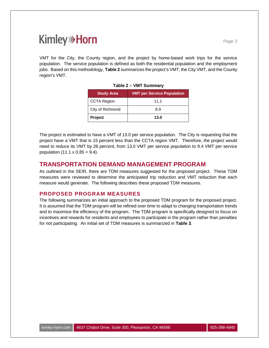VMT for the City, the County region, and the project by home-based work trips for the service population. The service population is defined as both the residential population and the employment jobs. Based on this methodology, **Table 2** summarizes the project's VMT, the City VMT, and the County region's VMT.

| <b>Study Area</b>  | <b>VMT per Service Population</b> |  |  |  |  |  |
|--------------------|-----------------------------------|--|--|--|--|--|
| <b>CCTA Region</b> | 11.1                              |  |  |  |  |  |
| City of Richmond   | 8.9                               |  |  |  |  |  |
| <b>Project</b>     | 13.0                              |  |  |  |  |  |

**Table 2 – VMT Summary**

The project is estimated to have a VMT of 13.0 per service population. The City is requesting that the project have a VMT that is 15 percent less than the CCTA region VMT. Therefore, the project would need to reduce its VMT by 28 percent, from 13.0 VMT per service population to 9.4 VMT per service population  $(11.1 \times 0.85 = 9.4)$ .

### **TRANSPORTATION DEMAND MANAGEMENT PROGRAM**

As outlined in the SEIR, there are TDM measures suggested for the proposed project. These TDM measures were reviewed to determine the anticipated trip reduction and VMT reduction that each measure would generate. The following describes these proposed TDM measures.

### **PROPOSED PROGRAM MEASURES**

The following summarizes an initial approach to the proposed TDM program for the proposed project. It is assumed that the TDM program will be refined over time to adapt to changing transportation trends and to maximize the efficiency of the program. The TDM program is specifically designed to focus on incentives and rewards for residents and employees to participate in the program rather than penalties for not participating. An initial set of TDM measures is summarized in **Table 3**.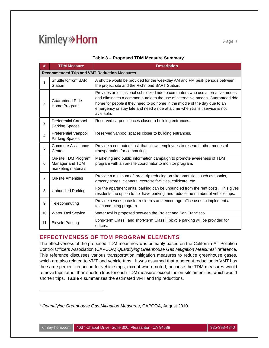| #              | <b>TDM Measure</b>                                            | <b>Description</b>                                                                                                                                                                                                                                                                                                                           |  |  |  |  |  |  |
|----------------|---------------------------------------------------------------|----------------------------------------------------------------------------------------------------------------------------------------------------------------------------------------------------------------------------------------------------------------------------------------------------------------------------------------------|--|--|--|--|--|--|
|                | <b>Recommended Trip and VMT Reduction Measures</b>            |                                                                                                                                                                                                                                                                                                                                              |  |  |  |  |  |  |
| 1              | Shuttle to/from BART<br>Station                               | A shuttle would be provided for the weekday AM and PM peak periods between<br>the project site and the Richmond BART Station.                                                                                                                                                                                                                |  |  |  |  |  |  |
| 2              | <b>Guaranteed Ride</b><br>Home Program                        | Provides an occasional subsidized ride to commuters who use alternative modes<br>and eliminates a common hurdle to the use of alternative modes. Guaranteed ride<br>home for people if they need to go home in the middle of the day due to an<br>emergency or stay late and need a ride at a time when transit service is not<br>available. |  |  |  |  |  |  |
| 3              | <b>Preferential Carpool</b><br><b>Parking Spaces</b>          | Reserved carpool spaces closer to building entrances.                                                                                                                                                                                                                                                                                        |  |  |  |  |  |  |
| $\overline{4}$ | Preferential Vanpool<br><b>Parking Spaces</b>                 | Reserved vanpool spaces closer to building entrances.                                                                                                                                                                                                                                                                                        |  |  |  |  |  |  |
| 5              | Commute Assistance<br>Center                                  | Provide a computer kiosk that allows employees to research other modes of<br>transportation for commuting.                                                                                                                                                                                                                                   |  |  |  |  |  |  |
| 6              | On-site TDM Program<br>Manager and TDM<br>marketing materials | Marketing and public information campaign to promote awareness of TDM<br>program with an on-site coordinator to monitor program.                                                                                                                                                                                                             |  |  |  |  |  |  |
| $\overline{7}$ | <b>On-site Amenities</b>                                      | Provide a minimum of three trip reducing on-site amenities, such as: banks,<br>grocery stores, cleaners, exercise facilities, childcare, etc.                                                                                                                                                                                                |  |  |  |  |  |  |
| 8              | <b>Unbundled Parking</b>                                      | For the apartment units, parking can be unbundled from the rent costs. This gives<br>residents the option to not have parking, and reduce the number of vehicle trips.                                                                                                                                                                       |  |  |  |  |  |  |
| 9              | Telecommuting                                                 | Provide a workspace for residents and encourage office uses to implement a<br>telecommuting program.                                                                                                                                                                                                                                         |  |  |  |  |  |  |
| 10             | <b>Water Taxi Service</b>                                     | Water taxi is proposed between the Project and San Francisco                                                                                                                                                                                                                                                                                 |  |  |  |  |  |  |
| 11             | <b>Bicycle Parking</b>                                        | Long-term Class I and short-term Class II bicycle parking will be provided for<br>offices.                                                                                                                                                                                                                                                   |  |  |  |  |  |  |

#### **Table 3 – Proposed TDM Measure Summary**

### **EFFECTIVENESS OF TDM PROGRAM ELEMENTS**

The effectiveness of the proposed TDM measures was primarily based on the California Air Pollution Control Officers Association (CAPCOA) Quantifying Greenhouse Gas Mitigation Measures<sup>2</sup> reference. This reference discusses various transportation mitigation measures to reduce greenhouse gases, which are also related to VMT and vehicle trips. It was assumed that a percent reduction in VMT has the same percent reduction for vehicle trips, except where noted, because the TDM measures would remove trips rather than shorten trips for each TDM measure, except the on-site amenities, which would shorten trips. **Table 4** summarizes the estimated VMT and trip reductions.

<sup>2</sup> *Quantifying Greenhouse Gas Mitigation Measures*, CAPCOA, August 2010.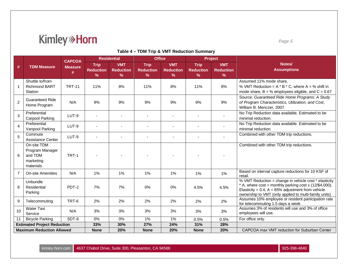# **Kimley**<sup>></sup>Horn

#### **Table 4 – TDM Trip & VMT Reduction Summary**

|                                    |                                                                     | <b>CAPCOA</b>       | <b>Residential</b>                               |                                                 | <b>Office</b>                             |                                     | Project                                          |                                                 |                                                                                                                                                                                                                                    |  |
|------------------------------------|---------------------------------------------------------------------|---------------------|--------------------------------------------------|-------------------------------------------------|-------------------------------------------|-------------------------------------|--------------------------------------------------|-------------------------------------------------|------------------------------------------------------------------------------------------------------------------------------------------------------------------------------------------------------------------------------------|--|
| #                                  | <b>TDM Measure</b>                                                  | <b>Measure</b><br># | <b>Trip</b><br><b>Reduction</b><br>$\frac{9}{6}$ | <b>VMT</b><br><b>Reduction</b><br>$\frac{9}{6}$ | Trip<br><b>Reduction</b><br>$\frac{9}{6}$ | <b>VMT</b><br><b>Reduction</b><br>% | <b>Trip</b><br><b>Reduction</b><br>$\frac{9}{6}$ | <b>VMT</b><br><b>Reduction</b><br>$\frac{9}{6}$ | Notes/<br><b>Assumptions</b>                                                                                                                                                                                                       |  |
| 1                                  | Shuttle to/from<br><b>Richmond BART</b><br>Station                  | <b>TRT-11</b>       | 11%                                              | 8%                                              | 11%                                       | 8%                                  | 11%                                              | 8%                                              | Assumed 11% mode share,<br>% VMT Reduction = $A * B * C$ , where $A = %$ shift in<br>mode share, $B = \%$ employees eligible, and $C = 0.67$                                                                                       |  |
| $\overline{2}$                     | <b>Guaranteed Ride</b><br>Home Program                              | N/A                 | 9%                                               | 9%                                              | 9%                                        | 9%                                  | 9%                                               | 9%                                              | Source: Guaranteed Ride Home Programs: A Study<br>of Program Characteristics, Utilization, and Cost,<br>William B. Menczer, 2007.                                                                                                  |  |
| 3                                  | Preferential<br>Carpool Parking                                     | LUT-9               |                                                  |                                                 |                                           |                                     |                                                  |                                                 | No Trip Reduction data available. Estimated to be<br>minimal reduction.                                                                                                                                                            |  |
| $\overline{4}$                     | Preferential<br>Vanpool Parking                                     | LUT-9               |                                                  |                                                 |                                           |                                     |                                                  |                                                 | No Trip Reduction data available. Estimated to be<br>minimal reduction.                                                                                                                                                            |  |
| 5                                  | Commute<br><b>Assistance Center</b>                                 | LUT-9               |                                                  |                                                 |                                           |                                     |                                                  |                                                 | Combined with other TDM trip reductions.                                                                                                                                                                                           |  |
| 6                                  | On-site TDM<br>Program Manager<br>and TDM<br>marketing<br>materials | TRT-1               |                                                  |                                                 |                                           |                                     |                                                  |                                                 | Combined with other TDM trip reductions.                                                                                                                                                                                           |  |
| $\overline{7}$                     | <b>On-site Amenities</b>                                            | N/A                 | 1%                                               | 1%                                              | 1%                                        | 1%                                  | 1%                                               | 1%                                              | Based on internal capture reductions for 10 KSF of<br>retail.                                                                                                                                                                      |  |
| 8                                  | Unbundle<br>Residential<br>Parking                                  | PDT-2               | 7%                                               | 7%                                              | 0%                                        | 0%                                  | 4.5%                                             | 4.5%                                            | % VMT Reduction = change in vehicle cost * elasticity<br>* A, where $cost = monthly parking cost x (12/\$4,000)$ ,<br>Elasticity = 0.4, $A = 85%$ adjustment from vehicle<br>ownership to VMT (only applied to multi-family units) |  |
| 9                                  | Telecommuting                                                       | TRT-6               | 2%                                               | 2%                                              | 2%                                        | 2%                                  | 2%                                               | 2%                                              | Assumes 10% employee or resident participation rate<br>for telecommuting 1.5 days a week                                                                                                                                           |  |
| 10                                 | <b>Water Taxi</b><br>Service                                        | N/A                 | 3%                                               | 3%                                              | 3%                                        | 3%                                  | 3%                                               | 3%                                              | Assumes 3% of residents will use and 3% of office<br>employees will use.                                                                                                                                                           |  |
| 11                                 | <b>Bicycle Parking</b>                                              | SDT-6               | 0%                                               | 0%                                              | 1%                                        | 1%                                  | 0.5%                                             | 0.5%                                            | For office only.                                                                                                                                                                                                                   |  |
| <b>Estimated Project Reduction</b> |                                                                     |                     | 33%                                              | 30%                                             | 27%                                       | 24%                                 | 31%                                              | 28%                                             |                                                                                                                                                                                                                                    |  |
| <b>Maximum Reduction Allowed</b>   |                                                                     |                     | <b>None</b>                                      | 20%                                             | <b>None</b>                               | 20%                                 | <b>None</b>                                      | 20%                                             | CAPCOA max VMT reduction for Suburban Center                                                                                                                                                                                       |  |

kimley-horn.com 4637 Chabot Drive, Suite 300, Pleasanton, CA 94588 925-998-4840 925-398-4840

*Page 5*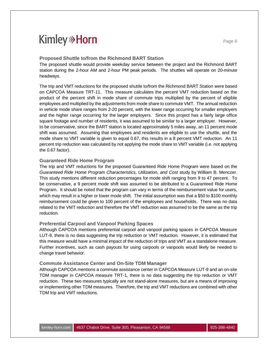#### **Proposed Shuttle to/from the Richmond BART Station**

The proposed shuttle would provide weekday service between the project and the Richmond BART station during the 2-hour AM and 2-hour PM peak periods. The shuttles will operate on 20-minute headways.

The trip and VMT reductions for the proposed shuttle to/from the Richmond BART Station were based on CAPCOA Measure TRT-11. This measure calculates the percent VMT reduction based on the product of the percent shift in mode share of commute trips multiplied by the percent of eligible employees and multiplied by the adjustments from mode share to commute VMT. The annual reduction in vehicle mode share ranges from 2-20 percent, with the lower range occurring for smaller employers and the higher range occurring for the larger employers. Since this project has a fairly large office square footage and number of residents, it was assumed to be similar to a larger employer. However, to be conservative, since the BART station is located approximately 5 miles away, an 11 percent mode shift was assumed. Assuming that employees and residents are eligible to use the shuttle, and the mode share to VMT variable is given to equal 0.67, this results in a 8 percent VMT reduction. An 11 percent trip reduction was calculated by not applying the mode share to VMT variable (i.e. not applying the 0.67 factor).

#### **Guaranteed Ride Home Program**

The trip and VMT reductions for the proposed Guaranteed Ride Home Program were based on the *Guaranteed Ride Home Program Characteristics, Utilization, and Cost* study by William B. Menczer. This study mentions different reduction percentages for mode shift ranging from 9 to 47 percent. To be conservative, a 9 percent mode shift was assumed to be attributed to a Guaranteed Ride Home Program. It should be noted that the program can vary in terms of the reimbursement value for users, which may result in a higher or lower mode shift. The initial assumption was that a \$50 to \$100 monthly reimbursement could be given to 100 percent of the employees and households. There was no data related to the VMT reduction and therefore the VMT reduction was assumed to be the same as the trip reduction.

#### **Preferential Carpool and Vanpool Parking Spaces**

Although CAPCOA mentions preferential carpool and vanpool parking spaces in CAPCOA Measure LUT-9, there is no data suggesting the trip reduction or VMT reduction. However, it is estimated that this measure would have a minimal impact of the reduction of trips and VMT as a standalone measure. Further incentives, such as cash payouts for using carpools or vanpools would likely be needed to change travel behavior.

#### **Commute Assistance Center and On-Site TDM Manager**

Although CAPCOA mentions a commute assistance center in CAPCOA Measure LUT-9 and an on-site TDM manager in CAPCOA measure TRT-1, there is no data suggesting the trip reduction or VMT reduction. These two measures typically are not stand-alone measures, but are a means of improving or implementing other TDM measures. Therefore, the trip and VMT reductions are combined with other TDM trip and VMT reductions.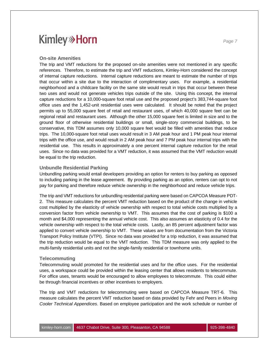The trip and VMT reductions for the proposed on-site amenities were not mentioned in any specific references. Therefore, to estimate the trip and VMT reductions, Kimley-Horn considered the concept of internal capture reductions. Internal capture reductions are meant to estimate the number of trips that occur within a site due to the interaction of complimentary uses. For example, a residential neighborhood and a childcare facility on the same site would result in trips that occur between these two uses and would not generate vehicles trips outside of the site. Using this concept, the internal capture reductions for a 10,000-square foot retail use and the proposed project's 383,744-square foot office uses and the 1,452-unit residential uses were calculated. It should be noted that the project permits up to 55,000 square feet of retail and restaurant uses, of which 40,000 square feet can be regional retail and restaurant uses. Although the other 15,000 square feet is limited in size and to the ground floor of otherwise residential buildings or small, single-story commercial buildings, to be conservative, this TDM assumes only 10,000 square feet would be filled with amenities that reduce trips. The 10,000-square foot retail uses would result in 3 AM peak hour and 1 PM peak hour internal trips with the office use, and would result in 2 AM peak hour and 7 PM peak hour internal trips with the residential use. This results in approximately a one percent internal capture reduction for the retail uses. Since no data was provided for a VMT reduction, it was assumed that the VMT reduction would be equal to the trip reduction.

#### **Unbundle Residential Parking**

Unbundling parking would entail developers providing an option for renters to buy parking as opposed to including parking in the lease agreement. By providing parking as an option, renters can opt to not pay for parking and therefore reduce vehicle ownership in the neighborhood and reduce vehicle trips.

The trip and VMT reductions for unbundling residential parking were based on CAPCOA Measure PDT-2. This measure calculates the percent VMT reduction based on the product of the change in vehicle cost multiplied by the elasticity of vehicle ownership with respect to total vehicle costs multiplied by a conversion factor from vehicle ownership to VMT. This assumes that the cost of parking is \$100 a month and \$4,000 representing the annual vehicle cost. This also assumes an elasticity of 0.4 for the vehicle ownership with respect to the total vehicle costs. Lastly, an 85 percent adjustment factor was applied to convert vehicle ownership to VMT. These values are from documentation from the Victoria Transport Policy Institute (VTPI). Since no data was provided for a trip reduction, it was assumed that the trip reduction would be equal to the VMT reduction. This TDM measure was only applied to the multi-family residential units and not the single-family residential or townhome units.

#### **Telecommuting**

Telecommuting would promoted for the residential uses and for the office uses. For the residential uses, a workspace could be provided within the leasing center that allows residents to telecommute. For office uses, tenants would be encouraged to allow employees to telecommute. This could either be through financial incentives or other incentives to employers.

The trip and VMT reductions for telecommuting were based on CAPCOA Measure TRT-6. This measure calculates the percent VMT reduction based on data provided by Fehr and Peers in *Moving Cooler Technical Appendices*. Based on employee participation and the work schedule or number of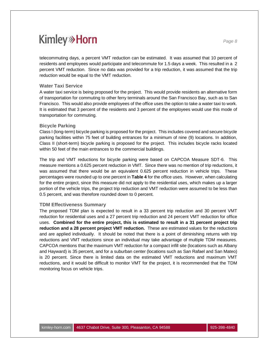telecommuting days, a percent VMT reduction can be estimated. It was assumed that 10 percent of residents and employees would participate and telecommute for 1.5 days a week. This resulted in a 2 percent VMT reduction. Since no data was provided for a trip reduction, it was assumed that the trip reduction would be equal to the VMT reduction.

#### **Water Taxi Service**

A water taxi service is being proposed for the project. This would provide residents an alternative form of transportation for commuting to other ferry terminals around the San Francisco Bay, such as to San Francisco. This would also provide employees of the office uses the option to take a water taxi to work. It is estimated that 3 percent of the residents and 3 percent of the employees would use this mode of transportation for commuting.

#### **Bicycle Parking**

Class I (long-term) bicycle parking is proposed for the project. This includes covered and secure bicycle parking facilities within 75 feet of building entrances for a minimum of nine (9) locations. In addition, Class II (short-term) bicycle parking is proposed for the project. This includes bicycle racks located within 50 feet of the main entrances to the commercial buildings.

The trip and VMT reductions for bicycle parking were based on CAPCOA Measure SDT-6. This measure mentions a 0.625 percent reduction in VMT. Since there was no mention of trip reductions, it was assumed that there would be an equivalent 0.625 percent reduction in vehicle trips. These percentages were rounded up to one percent in **Table 4** for the office uses. However, when calculating for the entire project, since this measure did not apply to the residential uses, which makes up a larger portion of the vehicle trips, the project trip reduction and VMT reduction were assumed to be less than 0.5 percent, and was therefore rounded down to 0 percent.

#### **TDM Effectiveness Summary**

The proposed TDM plan is expected to result in a 33 percent trip reduction and 30 percent VMT reduction for residential uses and a 27 percent trip reduction and 24 percent VMT reduction for office uses. **Combined for the entire project, this is estimated to result in a 31 percent project trip reduction and a 28 percent project VMT reduction.** These are estimated values for the reductions and are applied individually. It should be noted that there is a point of diminishing returns with trip reductions and VMT reductions since an individual may take advantage of multiple TDM measures. CAPCOA mentions that the maximum VMT reduction for a compact infill site (locations such as Albany and Hayward) is 35 percent, and for a suburban center (locations such as San Rafael and San Mateo) is 20 percent. Since there is limited data on the estimated VMT reductions and maximum VMT reductions, and it would be difficult to monitor VMT for the project, it is recommended that the TDM monitoring focus on vehicle trips.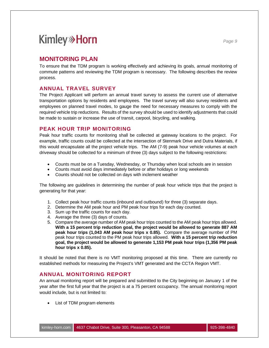### **MONITORING PLAN**

To ensure that the TDM program is working effectively and achieving its goals, annual monitoring of commute patterns and reviewing the TDM program is necessary. The following describes the review process.

### **ANNUAL TRAVEL SURVEY**

The Project Applicant will perform an annual travel survey to assess the current use of alternative transportation options by residents and employees. The travel survey will also survey residents and employees on planned travel modes, to gauge the need for necessary measures to comply with the required vehicle trip reductions. Results of the survey should be used to identify adjustments that could be made to sustain or increase the use of transit, carpool, bicycling, and walking.

### **PEAK HOUR TRIP MONITORING**

Peak hour traffic counts for monitoring shall be collected at gateway locations to the project. For example, traffic counts could be collected at the intersection of Stenmark Drive and Dutra Materials, if this would encapsulate all the project vehicle trips. The AM (7-9) peak hour vehicle volumes at each driveway should be collected for a minimum of three (3) days subject to the following restrictions:

- · Counts must be on a Tuesday, Wednesday, or Thursday when local schools are in session
- · Counts must avoid days immediately before or after holidays or long weekends
- · Counts should not be collected on days with inclement weather

The following are guidelines in determining the number of peak hour vehicle trips that the project is generating for that year:

- 1. Collect peak hour traffic counts (inbound and outbound) for three (3) separate days.
- 2. Determine the AM peak hour and PM peak hour trips for each day counted.
- 3. Sum up the traffic counts for each day.
- 4. Average the three (3) days of counts.
- 5. Compare the average number of AM peak hour trips counted to the AM peak hour trips allowed. **With a 15 percent trip reduction goal, the project would be allowed to generate 887 AM peak hour trips (1,043 AM peak hour trips x 0.85).** Compare the average number of PM peak hour trips counted to the PM peak hour trips allowed. **With a 15 percent trip reduction goal, the project would be allowed to generate 1,153 PM peak hour trips (1,356 PM peak hour trips x 0.85).**

It should be noted that there is no VMT monitoring proposed at this time. There are currently no established methods for measuring the Project's VMT generated and the CCTA Region VMT.

### **ANNUAL MONITORING REPORT**

An annual monitoring report will be prepared and submitted to the City beginning on January 1 of the year after the first full year that the project is at a 75 percent occupancy. The annual monitoring report would include, but is not limited to:

· List of TDM program elements